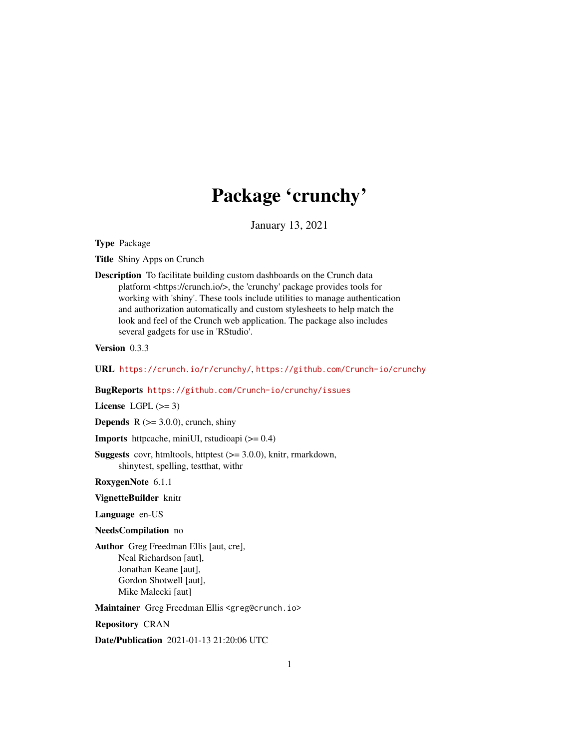# Package 'crunchy'

January 13, 2021

<span id="page-0-0"></span>Type Package

Title Shiny Apps on Crunch

Description To facilitate building custom dashboards on the Crunch data platform <https://crunch.io/>, the 'crunchy' package provides tools for working with 'shiny'. These tools include utilities to manage authentication and authorization automatically and custom stylesheets to help match the look and feel of the Crunch web application. The package also includes several gadgets for use in 'RStudio'.

Version 0.3.3

URL <https://crunch.io/r/crunchy/>, <https://github.com/Crunch-io/crunchy>

BugReports <https://github.com/Crunch-io/crunchy/issues>

License LGPL  $(>= 3)$ 

**Depends** R  $(>= 3.0.0)$ , crunch, shiny

Imports httpcache, miniUI, rstudioapi (>= 0.4)

Suggests covr, htmltools, httptest (>= 3.0.0), knitr, rmarkdown, shinytest, spelling, testthat, withr

RoxygenNote 6.1.1

VignetteBuilder knitr

Language en-US

NeedsCompilation no

Author Greg Freedman Ellis [aut, cre], Neal Richardson [aut], Jonathan Keane [aut], Gordon Shotwell [aut], Mike Malecki [aut]

Maintainer Greg Freedman Ellis <greg@crunch.io>

Repository CRAN

Date/Publication 2021-01-13 21:20:06 UTC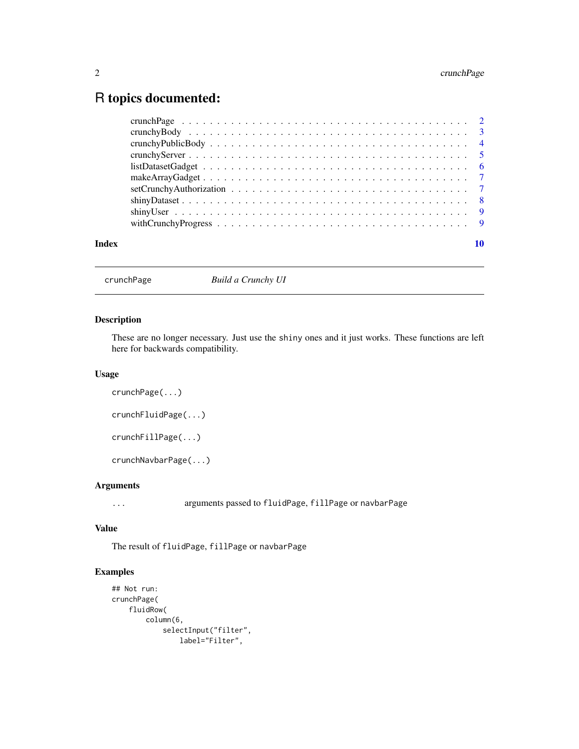# <span id="page-1-0"></span>R topics documented:

| Index |                                                                                                             |
|-------|-------------------------------------------------------------------------------------------------------------|
|       | with Crunchy Progress $\ldots \ldots \ldots \ldots \ldots \ldots \ldots \ldots \ldots \ldots \ldots \ldots$ |
|       |                                                                                                             |
|       |                                                                                                             |
|       |                                                                                                             |
|       |                                                                                                             |
|       |                                                                                                             |
|       |                                                                                                             |
|       |                                                                                                             |
|       |                                                                                                             |
|       |                                                                                                             |

crunchPage *Build a Crunchy UI*

# Description

These are no longer necessary. Just use the shiny ones and it just works. These functions are left here for backwards compatibility.

#### Usage

```
crunchPage(...)
crunchFluidPage(...)
crunchFillPage(...)
```
crunchNavbarPage(...)

# Arguments

... arguments passed to fluidPage, fillPage or navbarPage

# Value

The result of fluidPage, fillPage or navbarPage

# Examples

```
## Not run:
crunchPage(
   fluidRow(
       column(6,
           selectInput("filter",
               label="Filter",
```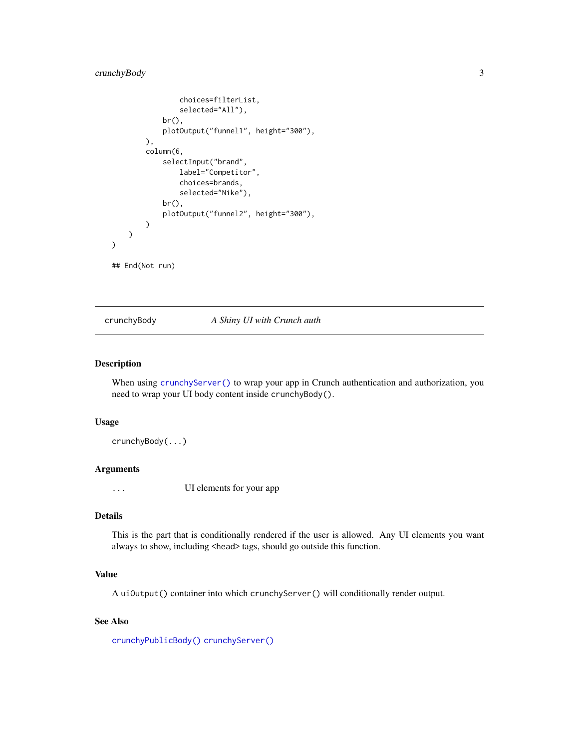# <span id="page-2-0"></span>crunchyBody 3

```
choices=filterList,
                selected="All"),
            br(),
            plotOutput("funnel1", height="300"),
        ),
        column(6,
            selectInput("brand",
                label="Competitor",
                choices=brands,
                selected="Nike"),
            br(),
            plotOutput("funnel2", height="300"),
        )
   )
)
## End(Not run)
```
<span id="page-2-1"></span>crunchyBody *A Shiny UI with Crunch auth*

# Description

When using [crunchyServer\(\)](#page-4-1) to wrap your app in Crunch authentication and authorization, you need to wrap your UI body content inside crunchyBody().

#### Usage

crunchyBody(...)

#### Arguments

... UI elements for your app

#### Details

This is the part that is conditionally rendered if the user is allowed. Any UI elements you want always to show, including <head> tags, should go outside this function.

#### Value

A uiOutput() container into which crunchyServer() will conditionally render output.

#### See Also

[crunchyPublicBody\(\)](#page-3-1) [crunchyServer\(\)](#page-4-1)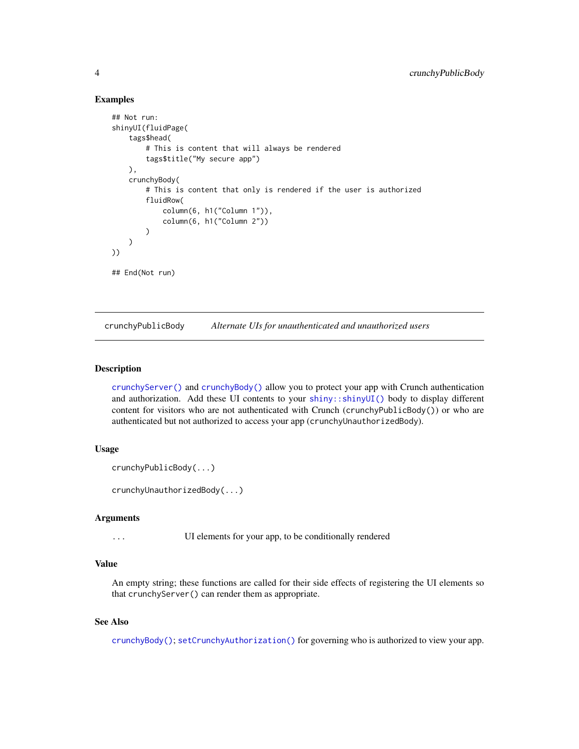## <span id="page-3-0"></span>Examples

```
## Not run:
shinyUI(fluidPage(
    tags$head(
        # This is content that will always be rendered
        tags$title("My secure app")
    ),
    crunchyBody(
        # This is content that only is rendered if the user is authorized
        fluidRow(
            column(6, h1("Column 1")),
            column(6, h1("Column 2"))
        )
    )
))
## End(Not run)
```
<span id="page-3-1"></span>crunchyPublicBody *Alternate UIs for unauthenticated and unauthorized users*

## <span id="page-3-2"></span>Description

[crunchyServer\(\)](#page-4-1) and [crunchyBody\(\)](#page-2-1) allow you to protect your app with Crunch authentication and authorization. Add these UI contents to your [shiny::shinyUI\(\)](#page-0-0) body to display different content for visitors who are not authenticated with Crunch (crunchyPublicBody()) or who are authenticated but not authorized to access your app (crunchyUnauthorizedBody).

## Usage

```
crunchyPublicBody(...)
```
crunchyUnauthorizedBody(...)

#### Arguments

... UI elements for your app, to be conditionally rendered

#### Value

An empty string; these functions are called for their side effects of registering the UI elements so that crunchyServer() can render them as appropriate.

#### See Also

[crunchyBody\(\)](#page-2-1); [setCrunchyAuthorization\(\)](#page-6-1) for governing who is authorized to view your app.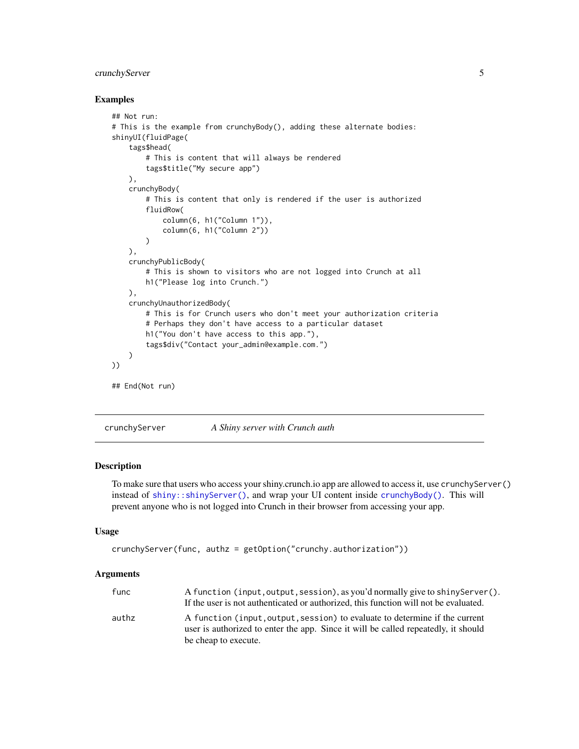# <span id="page-4-0"></span>crunchyServer 5

#### Examples

```
## Not run:
# This is the example from crunchyBody(), adding these alternate bodies:
shinyUI(fluidPage(
    tags$head(
        # This is content that will always be rendered
        tags$title("My secure app")
    ),
    crunchyBody(
        # This is content that only is rendered if the user is authorized
        fluidRow(
            column(6, h1("Column 1")),
            column(6, h1("Column 2"))
        \lambda),
    crunchyPublicBody(
        # This is shown to visitors who are not logged into Crunch at all
        h1("Please log into Crunch.")
   ),
    crunchyUnauthorizedBody(
        # This is for Crunch users who don't meet your authorization criteria
        # Perhaps they don't have access to a particular dataset
        h1("You don't have access to this app."),
        tags$div("Contact your_admin@example.com.")
    )
))
## End(Not run)
```
<span id="page-4-1"></span>crunchyServer *A Shiny server with Crunch auth*

# Description

To make sure that users who access your shiny.crunch.io app are allowed to access it, use crunchyServer() instead of [shiny::shinyServer\(\)](#page-0-0), and wrap your UI content inside [crunchyBody\(\)](#page-2-1). This will prevent anyone who is not logged into Crunch in their browser from accessing your app.

#### Usage

```
crunchyServer(func, authz = getOption("crunchy.authorization"))
```
#### Arguments

| func  | A function (input, output, session), as you'd normally give to shiny Server().                                                                                    |
|-------|-------------------------------------------------------------------------------------------------------------------------------------------------------------------|
|       | If the user is not authenticated or authorized, this function will not be evaluated.                                                                              |
| authz | A function (input, output, session) to evaluate to determine if the current<br>user is authorized to enter the app. Since it will be called repeatedly, it should |
|       | be cheap to execute.                                                                                                                                              |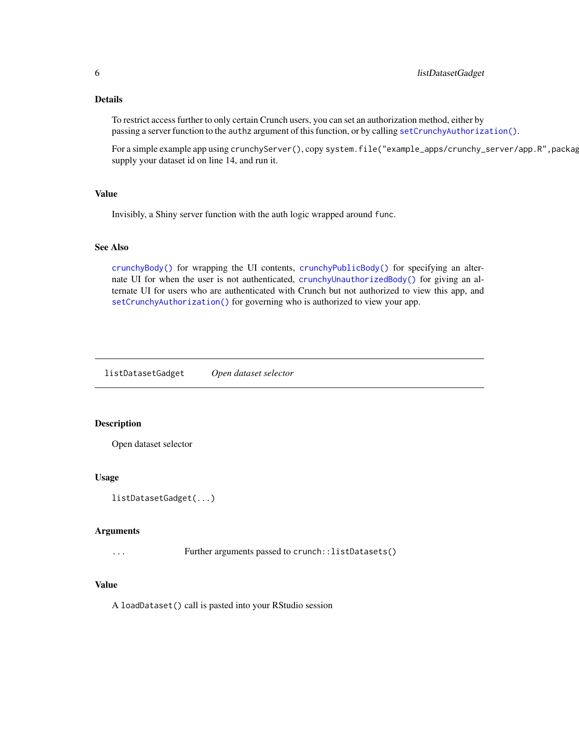# <span id="page-5-0"></span>Details

To restrict access further to only certain Crunch users, you can set an authorization method, either by passing a server function to the authz argument of this function, or by calling [setCrunchyAuthorization\(\)](#page-6-1).

For a simple example app using crunchyServer(), copy system.file("example\_apps/crunchy\_server/app.R",package="crunchy"), supply your dataset id on line 14, and run it.

# Value

Invisibly, a Shiny server function with the auth logic wrapped around func.

#### See Also

[crunchyBody\(\)](#page-2-1) for wrapping the UI contents, [crunchyPublicBody\(\)](#page-3-1) for specifying an alternate UI for when the user is not authenticated, [crunchyUnauthorizedBody\(\)](#page-3-2) for giving an alternate UI for users who are authenticated with Crunch but not authorized to view this app, and [setCrunchyAuthorization\(\)](#page-6-1) for governing who is authorized to view your app.

listDatasetGadget *Open dataset selector*

#### Description

Open dataset selector

#### Usage

```
listDatasetGadget(...)
```
#### Arguments

... Further arguments passed to crunch::listDatasets()

# Value

A loadDataset() call is pasted into your RStudio session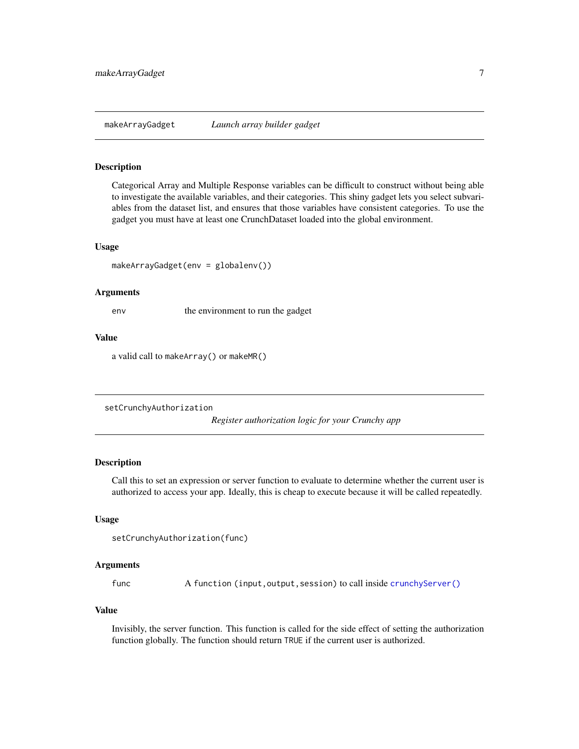<span id="page-6-0"></span>

#### Description

Categorical Array and Multiple Response variables can be difficult to construct without being able to investigate the available variables, and their categories. This shiny gadget lets you select subvariables from the dataset list, and ensures that those variables have consistent categories. To use the gadget you must have at least one CrunchDataset loaded into the global environment.

#### Usage

makeArrayGadget(env = globalenv())

#### Arguments

env the environment to run the gadget

# Value

a valid call to makeArray() or makeMR()

<span id="page-6-1"></span>setCrunchyAuthorization

*Register authorization logic for your Crunchy app*

# Description

Call this to set an expression or server function to evaluate to determine whether the current user is authorized to access your app. Ideally, this is cheap to execute because it will be called repeatedly.

#### Usage

```
setCrunchyAuthorization(func)
```
#### Arguments

func A function (input, output, session) to call inside [crunchyServer\(\)](#page-4-1)

# Value

Invisibly, the server function. This function is called for the side effect of setting the authorization function globally. The function should return TRUE if the current user is authorized.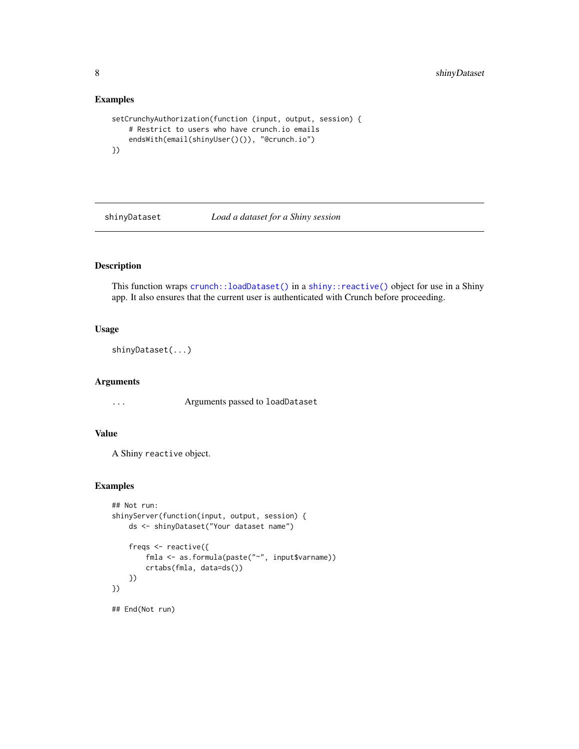# Examples

```
setCrunchyAuthorization(function (input, output, session) {
    # Restrict to users who have crunch.io emails
    endsWith(email(shinyUser()()), "@crunch.io")
})
```
shinyDataset *Load a dataset for a Shiny session*

# Description

This function wraps [crunch::loadDataset\(\)](#page-0-0) in a [shiny::reactive\(\)](#page-0-0) object for use in a Shiny app. It also ensures that the current user is authenticated with Crunch before proceeding.

# Usage

```
shinyDataset(...)
```
#### Arguments

... Arguments passed to loadDataset

# Value

A Shiny reactive object.

## Examples

```
## Not run:
shinyServer(function(input, output, session) {
   ds <- shinyDataset("Your dataset name")
    freqs <- reactive({
       fmla <- as.formula(paste("~", input$varname))
       crtabs(fmla, data=ds())
    })
})
## End(Not run)
```
<span id="page-7-0"></span>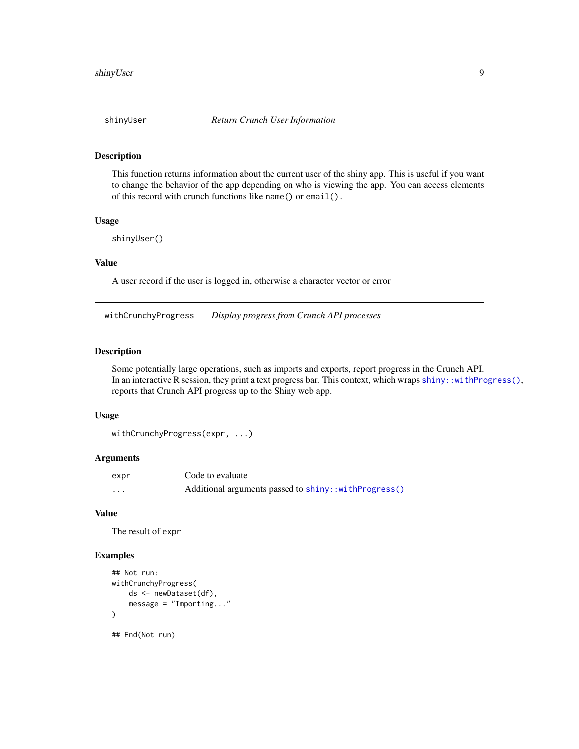<span id="page-8-0"></span>

#### Description

This function returns information about the current user of the shiny app. This is useful if you want to change the behavior of the app depending on who is viewing the app. You can access elements of this record with crunch functions like name() or email().

#### Usage

shinyUser()

# Value

A user record if the user is logged in, otherwise a character vector or error

withCrunchyProgress *Display progress from Crunch API processes*

## Description

Some potentially large operations, such as imports and exports, report progress in the Crunch API. In an interactive R session, they print a text progress bar. This context, which wraps shiny: withProgress(), reports that Crunch API progress up to the Shiny web app.

#### Usage

```
withCrunchyProgress(expr, ...)
```
# Arguments

| expr | Code to evaluate                                     |
|------|------------------------------------------------------|
| .    | Additional arguments passed to shiny::withProgress() |

#### Value

The result of expr

# Examples

```
## Not run:
withCrunchyProgress(
    ds <- newDataset(df),
    message = "Importing..."
)
## End(Not run)
```